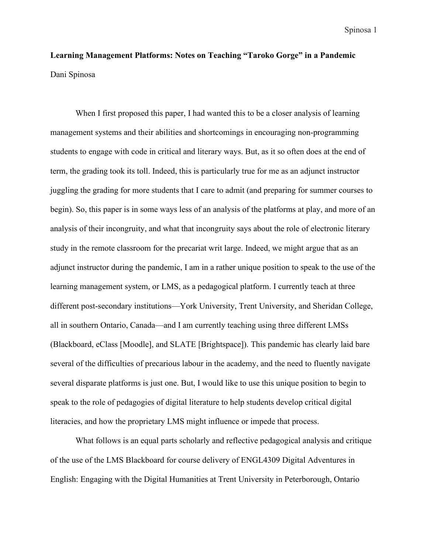## **Learning Management Platforms: Notes on Teaching "Taroko Gorge" in a Pandemic** Dani Spinosa

When I first proposed this paper, I had wanted this to be a closer analysis of learning management systems and their abilities and shortcomings in encouraging non-programming students to engage with code in critical and literary ways. But, as it so often does at the end of term, the grading took its toll. Indeed, this is particularly true for me as an adjunct instructor juggling the grading for more students that I care to admit (and preparing for summer courses to begin). So, this paper is in some ways less of an analysis of the platforms at play, and more of an analysis of their incongruity, and what that incongruity says about the role of electronic literary study in the remote classroom for the precariat writ large. Indeed, we might argue that as an adjunct instructor during the pandemic, I am in a rather unique position to speak to the use of the learning management system, or LMS, as a pedagogical platform. I currently teach at three different post-secondary institutions—York University, Trent University, and Sheridan College, all in southern Ontario, Canada—and I am currently teaching using three different LMSs (Blackboard, eClass [Moodle], and SLATE [Brightspace]). This pandemic has clearly laid bare several of the difficulties of precarious labour in the academy, and the need to fluently navigate several disparate platforms is just one. But, I would like to use this unique position to begin to speak to the role of pedagogies of digital literature to help students develop critical digital literacies, and how the proprietary LMS might influence or impede that process.

What follows is an equal parts scholarly and reflective pedagogical analysis and critique of the use of the LMS Blackboard for course delivery of ENGL4309 Digital Adventures in English: Engaging with the Digital Humanities at Trent University in Peterborough, Ontario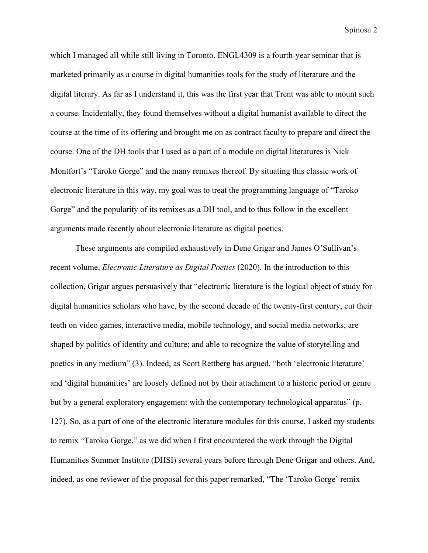which I managed all while still living in Toronto. ENGL4309 is a fourth-year seminar that is marketed primarily as a course in digital humanities tools for the study of literature and the digital literary. As far as I understand it, this was the first year that Trent was able to mount such a course. Incidentally, they found themselves without a digital humanist available to direct the course at the time of its offering and brought me on as contract faculty to prepare and direct the course. One of the DH tools that I used as a part of a module on digital literatures is Nick Montfort's "Taroko Gorge" and the many remixes thereof. By situating this classic work of electronic literature in this way, my goal was to treat the programming language of "Taroko Gorge" and the popularity of its remixes as a DH tool, and to thus follow in the excellent arguments made recently about electronic literature as digital poetics.

These arguments are compiled exhaustively in Dene Grigar and James O'Sullivan's recent volume, *Electronic Literature as Digital Poetics* (2020). In the introduction to this collection, Grigar argues persuasively that "electronic literature is the logical object of study for digital humanities scholars who have, by the second decade of the twenty-first century, cut their teeth on video games, interactive media, mobile technology, and social media networks; are shaped by politics of identity and culture; and able to recognize the value of storytelling and poetics in any medium" (3). Indeed, as Scott Rettberg has argued, "both 'electronic literature' and 'digital humanities' are loosely defined not by their attachment to a historic period or genre but by a general exploratory engagement with the contemporary technological apparatus" (p. 127). So, as a part of one of the electronic literature modules for this course, I asked my students to remix "Taroko Gorge," as we did when I first encountered the work through the Digital Humanities Summer Institute (DHSI) several years before through Dene Grigar and others. And, indeed, as one reviewer of the proposal for this paper remarked, "The 'Taroko Gorge' remix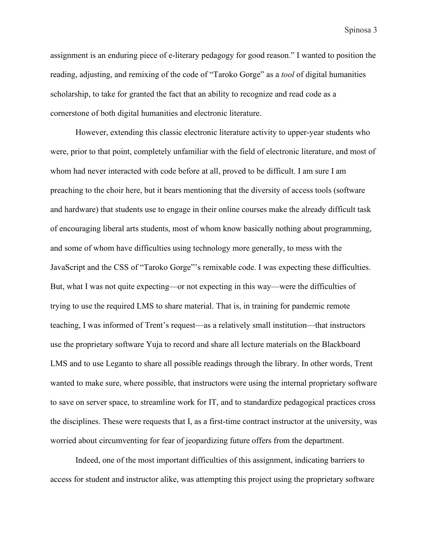assignment is an enduring piece of e-literary pedagogy for good reason." I wanted to position the reading, adjusting, and remixing of the code of "Taroko Gorge" as a *tool* of digital humanities scholarship, to take for granted the fact that an ability to recognize and read code as a cornerstone of both digital humanities and electronic literature.

However, extending this classic electronic literature activity to upper-year students who were, prior to that point, completely unfamiliar with the field of electronic literature, and most of whom had never interacted with code before at all, proved to be difficult. I am sure I am preaching to the choir here, but it bears mentioning that the diversity of access tools (software and hardware) that students use to engage in their online courses make the already difficult task of encouraging liberal arts students, most of whom know basically nothing about programming, and some of whom have difficulties using technology more generally, to mess with the JavaScript and the CSS of "Taroko Gorge"'s remixable code. I was expecting these difficulties. But, what I was not quite expecting—or not expecting in this way—were the difficulties of trying to use the required LMS to share material. That is, in training for pandemic remote teaching, I was informed of Trent's request—as a relatively small institution—that instructors use the proprietary software Yuja to record and share all lecture materials on the Blackboard LMS and to use Leganto to share all possible readings through the library. In other words, Trent wanted to make sure, where possible, that instructors were using the internal proprietary software to save on server space, to streamline work for IT, and to standardize pedagogical practices cross the disciplines. These were requests that I, as a first-time contract instructor at the university, was worried about circumventing for fear of jeopardizing future offers from the department.

Indeed, one of the most important difficulties of this assignment, indicating barriers to access for student and instructor alike, was attempting this project using the proprietary software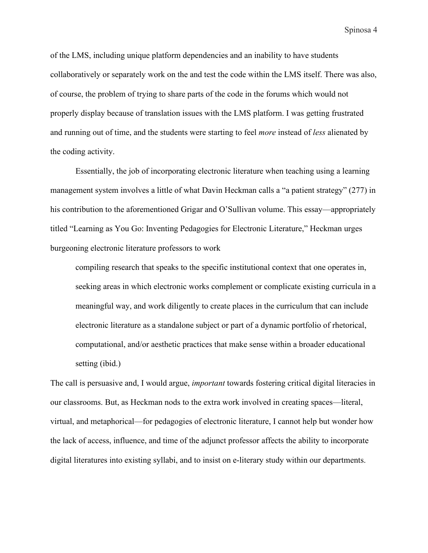of the LMS, including unique platform dependencies and an inability to have students collaboratively or separately work on the and test the code within the LMS itself. There was also, of course, the problem of trying to share parts of the code in the forums which would not properly display because of translation issues with the LMS platform. I was getting frustrated and running out of time, and the students were starting to feel *more* instead of *less* alienated by the coding activity.

Essentially, the job of incorporating electronic literature when teaching using a learning management system involves a little of what Davin Heckman calls a "a patient strategy" (277) in his contribution to the aforementioned Grigar and O'Sullivan volume. This essay—appropriately titled "Learning as You Go: Inventing Pedagogies for Electronic Literature," Heckman urges burgeoning electronic literature professors to work

compiling research that speaks to the specific institutional context that one operates in, seeking areas in which electronic works complement or complicate existing curricula in a meaningful way, and work diligently to create places in the curriculum that can include electronic literature as a standalone subject or part of a dynamic portfolio of rhetorical, computational, and/or aesthetic practices that make sense within a broader educational setting (ibid.)

The call is persuasive and, I would argue, *important* towards fostering critical digital literacies in our classrooms. But, as Heckman nods to the extra work involved in creating spaces—literal, virtual, and metaphorical—for pedagogies of electronic literature, I cannot help but wonder how the lack of access, influence, and time of the adjunct professor affects the ability to incorporate digital literatures into existing syllabi, and to insist on e-literary study within our departments.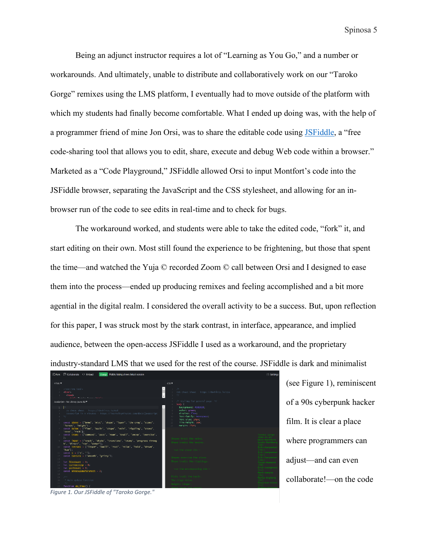Being an adjunct instructor requires a lot of "Learning as You Go," and a number or workarounds. And ultimately, unable to distribute and collaboratively work on our "Taroko Gorge" remixes using the LMS platform, I eventually had to move outside of the platform with which my students had finally become comfortable. What I ended up doing was, with the help of a programmer friend of mine Jon Orsi, was to share the editable code using [JSFiddle,](https://jsfiddle.net/) a "free code-sharing tool that allows you to edit, share, execute and debug Web code within a browser." Marketed as a "Code Playground," JSFiddle allowed Orsi to input Montfort's code into the JSFiddle browser, separating the JavaScript and the CSS stylesheet, and allowing for an inbrowser run of the code to see edits in real-time and to check for bugs.

The workaround worked, and students were able to take the edited code, "fork" it, and start editing on their own. Most still found the experience to be frightening, but those that spent the time—and watched the Yuja © recorded Zoom © call between Orsi and I designed to ease them into the process—ended up producing remixes and feeling accomplished and a bit more agential in the digital realm. I considered the overall activity to be a success. But, upon reflection for this paper, I was struck most by the stark contrast, in interface, appearance, and implied audience, between the open-access JSFiddle I used as a workaround, and the proprietary industry-standard LMS that we used for the rest of the course. JSFiddle is dark and minimalist



(see Figure 1), reminiscent of a 90s cyberpunk hacker film. It is clear a place where programmers can adjust—and can even collaborate!—on the code

*Figure 1. Our JSFiddle of "Taroko Gorge."*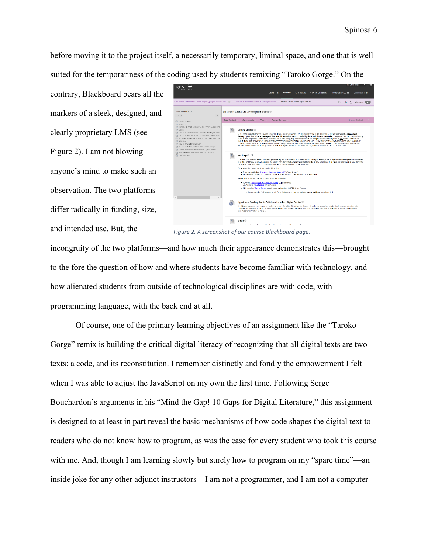before moving it to the project itself, a necessarily temporary, liminal space, and one that is wellsuited for the temporariness of the coding used by students remixing "Taroko Gorge." On the

contrary, Blackboard bears all the markers of a sleek, designed, and clearly proprietary LMS (see Figure 2). I am not blowing anyone's mind to make such an observation. The two platforms differ radically in funding, size, and intended use. But, the



*Figure 2. A screenshot of our course Blackboard page.*

incongruity of the two platforms—and how much their appearance demonstrates this—brought to the fore the question of how and where students have become familiar with technology, and how alienated students from outside of technological disciplines are with code, with programming language, with the back end at all.

Of course, one of the primary learning objectives of an assignment like the "Taroko Gorge" remix is building the critical digital literacy of recognizing that all digital texts are two texts: a code, and its reconstitution. I remember distinctly and fondly the empowerment I felt when I was able to adjust the JavaScript on my own the first time. Following Serge Bouchardon's arguments in his "Mind the Gap! 10 Gaps for Digital Literature," this assignment is designed to at least in part reveal the basic mechanisms of how code shapes the digital text to readers who do not know how to program, as was the case for every student who took this course with me. And, though I am learning slowly but surely how to program on my "spare time"—an inside joke for any other adjunct instructors—I am not a programmer, and I am not a computer